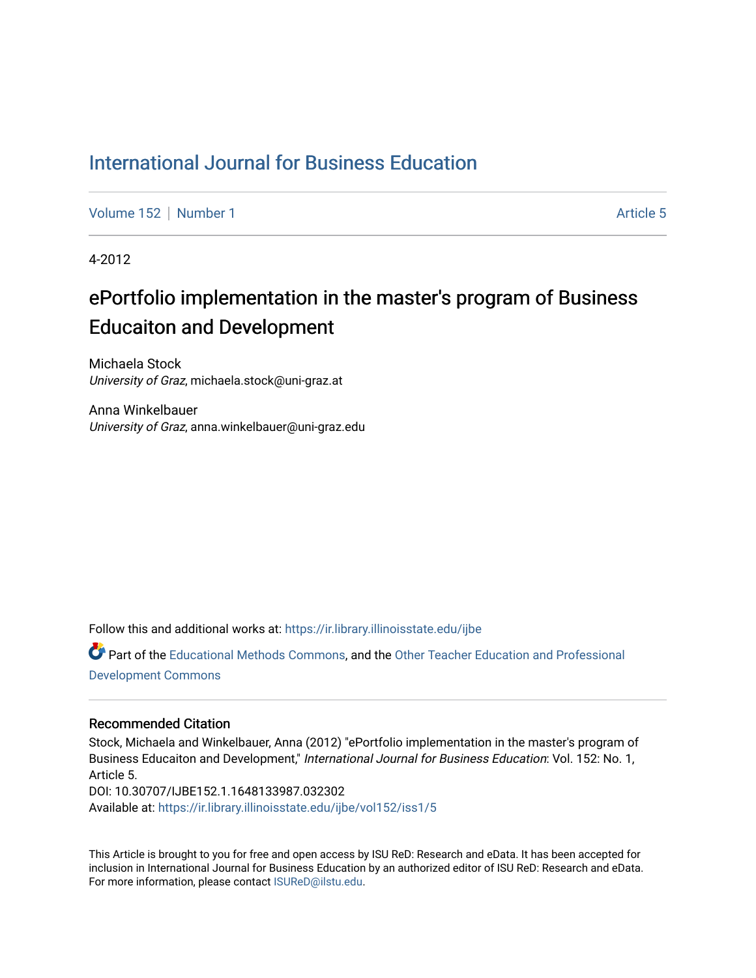#### [International Journal for Business Education](https://ir.library.illinoisstate.edu/ijbe)

[Volume 152](https://ir.library.illinoisstate.edu/ijbe/vol152) | [Number 1](https://ir.library.illinoisstate.edu/ijbe/vol152/iss1) Article 5

4-2012

# ePortfolio implementation in the master's program of Business Educaiton and Development

Michaela Stock University of Graz, michaela.stock@uni-graz.at

Anna Winkelbauer University of Graz, anna.winkelbauer@uni-graz.edu

Follow this and additional works at: [https://ir.library.illinoisstate.edu/ijbe](https://ir.library.illinoisstate.edu/ijbe?utm_source=ir.library.illinoisstate.edu%2Fijbe%2Fvol152%2Fiss1%2F5&utm_medium=PDF&utm_campaign=PDFCoverPages)

Part of the [Educational Methods Commons,](http://network.bepress.com/hgg/discipline/1227?utm_source=ir.library.illinoisstate.edu%2Fijbe%2Fvol152%2Fiss1%2F5&utm_medium=PDF&utm_campaign=PDFCoverPages) and the [Other Teacher Education and Professional](http://network.bepress.com/hgg/discipline/810?utm_source=ir.library.illinoisstate.edu%2Fijbe%2Fvol152%2Fiss1%2F5&utm_medium=PDF&utm_campaign=PDFCoverPages) [Development Commons](http://network.bepress.com/hgg/discipline/810?utm_source=ir.library.illinoisstate.edu%2Fijbe%2Fvol152%2Fiss1%2F5&utm_medium=PDF&utm_campaign=PDFCoverPages) 

#### Recommended Citation

Stock, Michaela and Winkelbauer, Anna (2012) "ePortfolio implementation in the master's program of Business Educaiton and Development," International Journal for Business Education: Vol. 152: No. 1, Article 5. DOI: 10.30707/IJBE152.1.1648133987.032302 Available at: [https://ir.library.illinoisstate.edu/ijbe/vol152/iss1/5](https://ir.library.illinoisstate.edu/ijbe/vol152/iss1/5?utm_source=ir.library.illinoisstate.edu%2Fijbe%2Fvol152%2Fiss1%2F5&utm_medium=PDF&utm_campaign=PDFCoverPages) 

This Article is brought to you for free and open access by ISU ReD: Research and eData. It has been accepted for inclusion in International Journal for Business Education by an authorized editor of ISU ReD: Research and eData. For more information, please contact [ISUReD@ilstu.edu.](mailto:ISUReD@ilstu.edu)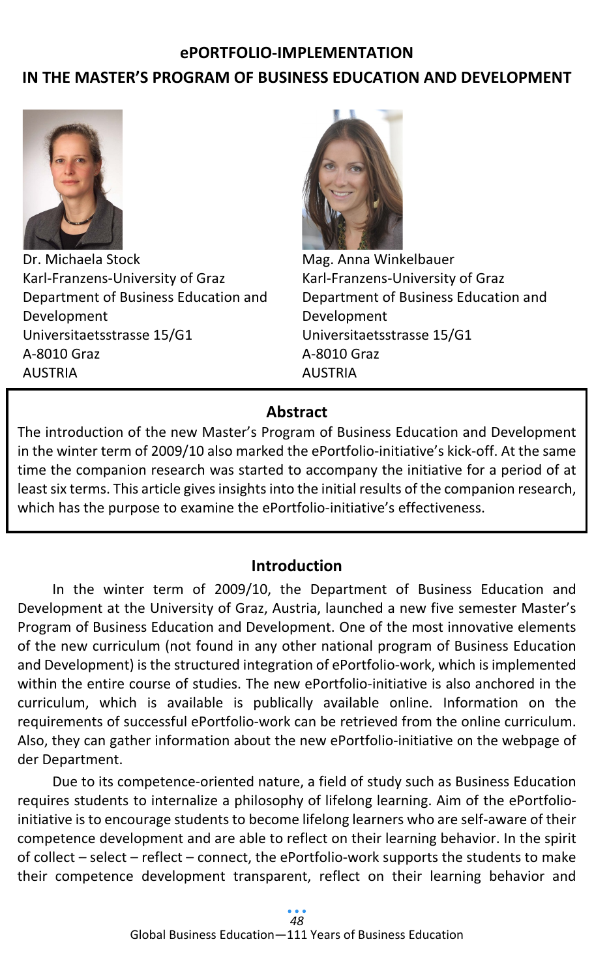## **ePORTFOLIO-IMPLEMENTATION**

# **IN THE MASTER'S PROGRAM OF BUSINESS EDUCATION AND DEVELOPMENT**



Dr. Michaela Stock Karl-Franzens-University of Graz Department of Business Education and Development Universitaetsstrasse 15/G1 A-8010 Graz AUSTRIA



Mag. Anna Winkelbauer Karl-Franzens-University of Graz Department of Business Education and Development Universitaetsstrasse 15/G1 A-8010 Graz AUSTRIA

## **Abstract**

The introduction of the new Master's Program of Business Education and Development in the winter term of 2009/10 also marked the ePortfolio-initiative's kick-off. At the same time the companion research was started to accompany the initiative for a period of at least six terms. This article gives insights into the initial results of the companion research, which has the purpose to examine the ePortfolio-initiative's effectiveness.

## **Introduction**

In the winter term of 2009/10, the Department of Business Education and Development at the University of Graz, Austria, launched a new five semester Master's Program of Business Education and Development. One of the most innovative elements of the new curriculum (not found in any other national program of Business Education and Development) is the structured integration of ePortfolio-work, which is implemented within the entire course of studies. The new ePortfolio-initiative is also anchored in the curriculum, which is available is publically available online. Information on the requirements of successful ePortfolio-work can be retrieved from the online curriculum. Also, they can gather information about the new ePortfolio-initiative on the webpage of der Department.

Due to its competence-oriented nature, a field of study such as Business Education requires students to internalize a philosophy of lifelong learning. Aim of the ePortfolioinitiative is to encourage students to become lifelong learners who are self-aware of their competence development and are able to reflect on their learning behavior. In the spirit of collect – select – reflect – connect, the ePortfolio-work supports the students to make their competence development transparent, reflect on their learning behavior and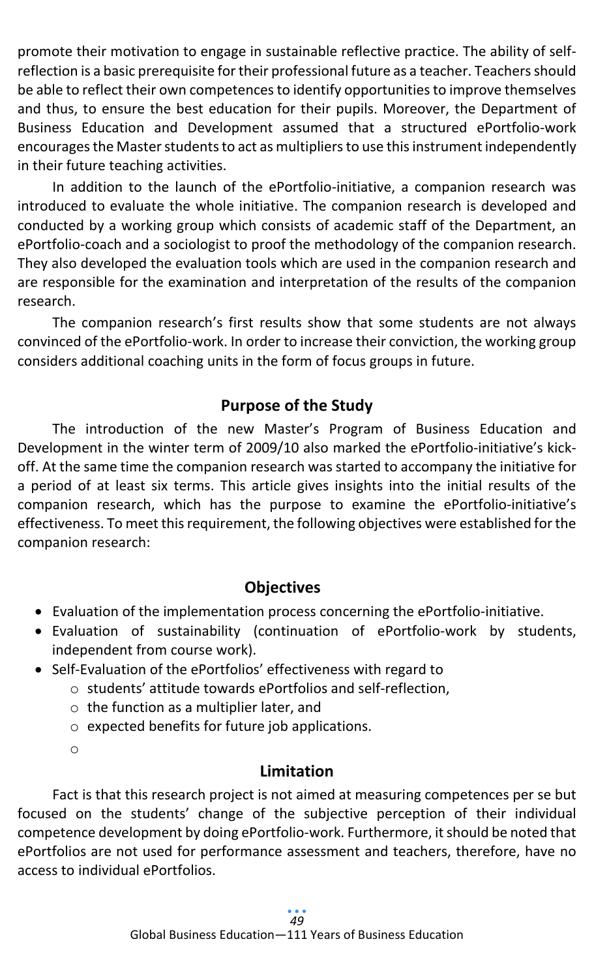promote their motivation to engage in sustainable reflective practice. The ability of selfreflection is a basic prerequisite for their professional future as a teacher. Teachers should be able to reflect their own competences to identify opportunities to improve themselves and thus, to ensure the best education for their pupils. Moreover, the Department of Business Education and Development assumed that a structured ePortfolio-work encourages the Master students to act as multipliers to use this instrument independently in their future teaching activities.

In addition to the launch of the ePortfolio-initiative, a companion research was introduced to evaluate the whole initiative. The companion research is developed and conducted by a working group which consists of academic staff of the Department, an ePortfolio-coach and a sociologist to proof the methodology of the companion research. They also developed the evaluation tools which are used in the companion research and are responsible for the examination and interpretation of the results of the companion research.

The companion research's first results show that some students are not always convinced of the ePortfolio-work. In order to increase their conviction, the working group considers additional coaching units in the form of focus groups in future.

# **Purpose of the Study**

The introduction of the new Master's Program of Business Education and Development in the winter term of 2009/10 also marked the ePortfolio-initiative's kickoff. At the same time the companion research was started to accompany the initiative for a period of at least six terms. This article gives insights into the initial results of the companion research, which has the purpose to examine the ePortfolio-initiative's effectiveness. To meet this requirement, the following objectives were established for the companion research:

# **Objectives**

- Evaluation of the implementation process concerning the ePortfolio-initiative.
- Evaluation of sustainability (continuation of ePortfolio-work by students, independent from course work).
- Self-Evaluation of the ePortfolios' effectiveness with regard to
	- o students' attitude towards ePortfolios and self-reflection,
		- $\circ$  the function as a multiplier later, and
		- o expected benefits for future job applications.

o

# **Limitation**

Fact is that this research project is not aimed at measuring competences per se but focused on the students' change of the subjective perception of their individual competence development by doing ePortfolio-work. Furthermore, it should be noted that ePortfolios are not used for performance assessment and teachers, therefore, have no access to individual ePortfolios.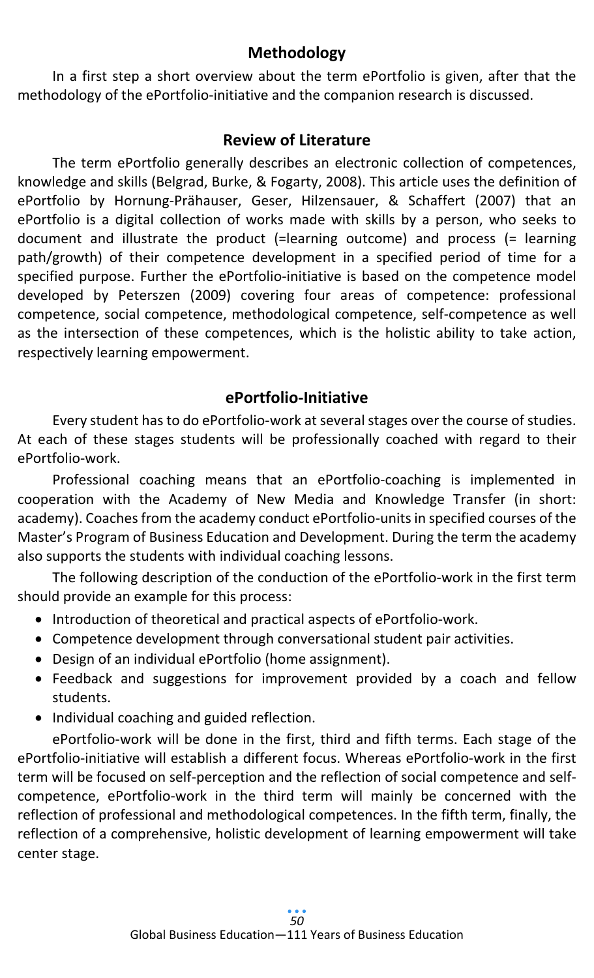# **Methodology**

In a first step a short overview about the term ePortfolio is given, after that the methodology of the ePortfolio-initiative and the companion research is discussed.

## **Review of Literature**

The term ePortfolio generally describes an electronic collection of competences, knowledge and skills (Belgrad, Burke, & Fogarty, 2008). This article uses the definition of ePortfolio by Hornung-Prähauser, Geser, Hilzensauer, & Schaffert (2007) that an ePortfolio is a digital collection of works made with skills by a person, who seeks to document and illustrate the product (=learning outcome) and process (= learning path/growth) of their competence development in a specified period of time for a specified purpose. Further the ePortfolio-initiative is based on the competence model developed by Peterszen (2009) covering four areas of competence: professional competence, social competence, methodological competence, self-competence as well as the intersection of these competences, which is the holistic ability to take action, respectively learning empowerment.

# **ePortfolio-Initiative**

Every student has to do ePortfolio-work at several stages over the course of studies. At each of these stages students will be professionally coached with regard to their ePortfolio-work.

Professional coaching means that an ePortfolio-coaching is implemented in cooperation with the Academy of New Media and Knowledge Transfer (in short: academy). Coaches from the academy conduct ePortfolio-units in specified courses of the Master's Program of Business Education and Development. During the term the academy also supports the students with individual coaching lessons.

The following description of the conduction of the ePortfolio-work in the first term should provide an example for this process:

- Introduction of theoretical and practical aspects of ePortfolio-work.
- Competence development through conversational student pair activities.
- Design of an individual ePortfolio (home assignment).
- Feedback and suggestions for improvement provided by a coach and fellow students.
- Individual coaching and guided reflection.

ePortfolio-work will be done in the first, third and fifth terms. Each stage of the ePortfolio-initiative will establish a different focus. Whereas ePortfolio-work in the first term will be focused on self-perception and the reflection of social competence and selfcompetence, ePortfolio-work in the third term will mainly be concerned with the reflection of professional and methodological competences. In the fifth term, finally, the reflection of a comprehensive, holistic development of learning empowerment will take center stage.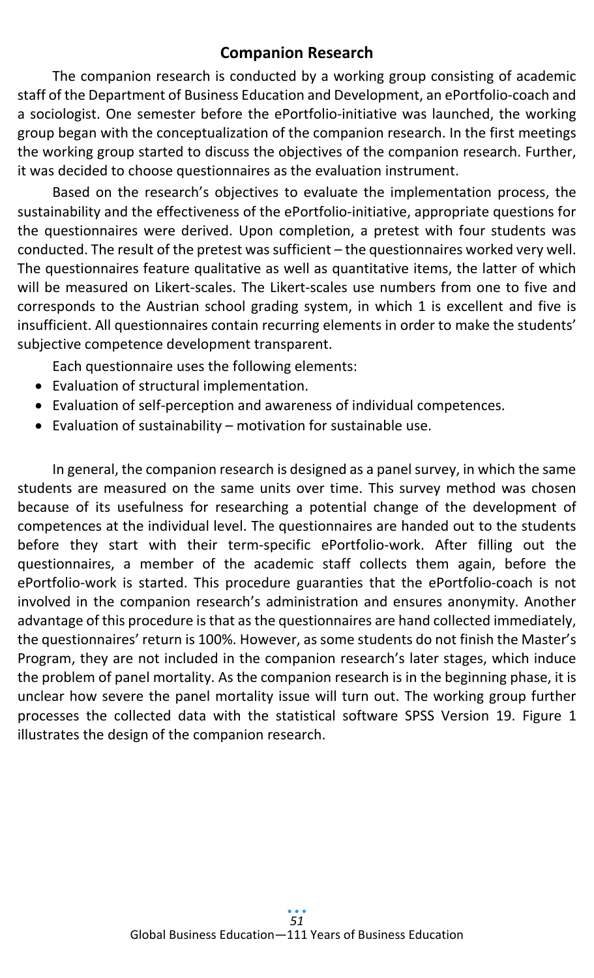# **Companion Research**

The companion research is conducted by a working group consisting of academic staff of the Department of Business Education and Development, an ePortfolio-coach and a sociologist. One semester before the ePortfolio-initiative was launched, the working group began with the conceptualization of the companion research. In the first meetings the working group started to discuss the objectives of the companion research. Further, it was decided to choose questionnaires as the evaluation instrument.

Based on the research's objectives to evaluate the implementation process, the sustainability and the effectiveness of the ePortfolio-initiative, appropriate questions for the questionnaires were derived. Upon completion, a pretest with four students was conducted. The result of the pretest was sufficient – the questionnaires worked very well. The questionnaires feature qualitative as well as quantitative items, the latter of which will be measured on Likert-scales. The Likert-scales use numbers from one to five and corresponds to the Austrian school grading system, in which 1 is excellent and five is insufficient. All questionnaires contain recurring elements in order to make the students' subjective competence development transparent.

Each questionnaire uses the following elements:

- Evaluation of structural implementation.
- Evaluation of self-perception and awareness of individual competences.
- Evaluation of sustainability motivation for sustainable use.

In general, the companion research is designed as a panel survey, in which the same students are measured on the same units over time. This survey method was chosen because of its usefulness for researching a potential change of the development of competences at the individual level. The questionnaires are handed out to the students before they start with their term-specific ePortfolio-work. After filling out the questionnaires, a member of the academic staff collects them again, before the ePortfolio-work is started. This procedure guaranties that the ePortfolio-coach is not involved in the companion research's administration and ensures anonymity. Another advantage of this procedure is that as the questionnaires are hand collected immediately, the questionnaires' return is 100%. However, as some students do not finish the Master's Program, they are not included in the companion research's later stages, which induce the problem of panel mortality. As the companion research is in the beginning phase, it is unclear how severe the panel mortality issue will turn out. The working group further processes the collected data with the statistical software SPSS Version 19. Figure 1 illustrates the design of the companion research.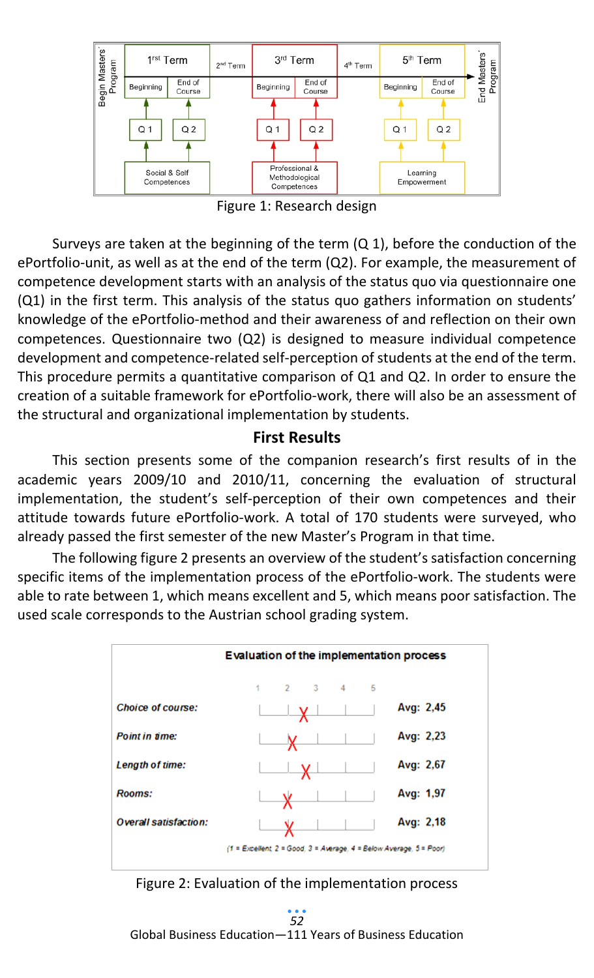

Figure 1: Research design

Surveys are taken at the beginning of the term (Q 1), before the conduction of the ePortfolio-unit, as well as at the end of the term (Q2). For example, the measurement of competence development starts with an analysis of the status quo via questionnaire one (Q1) in the first term. This analysis of the status quo gathers information on students' knowledge of the ePortfolio-method and their awareness of and reflection on their own competences. Questionnaire two (Q2) is designed to measure individual competence development and competence-related self-perception of students at the end of the term. This procedure permits a quantitative comparison of Q1 and Q2. In order to ensure the creation of a suitable framework for ePortfolio-work, there will also be an assessment of the structural and organizational implementation by students.

# **First Results**

This section presents some of the companion research's first results of in the academic years 2009/10 and 2010/11, concerning the evaluation of structural implementation, the student's self-perception of their own competences and their attitude towards future ePortfolio-work. A total of 170 students were surveyed, who already passed the first semester of the new Master's Program in that time.

The following figure 2 presents an overview of the student's satisfaction concerning specific items of the implementation process of the ePortfolio-work. The students were able to rate between 1, which means excellent and 5, which means poor satisfaction. The used scale corresponds to the Austrian school grading system.





Global Business Education—111 Years of Business Education *52*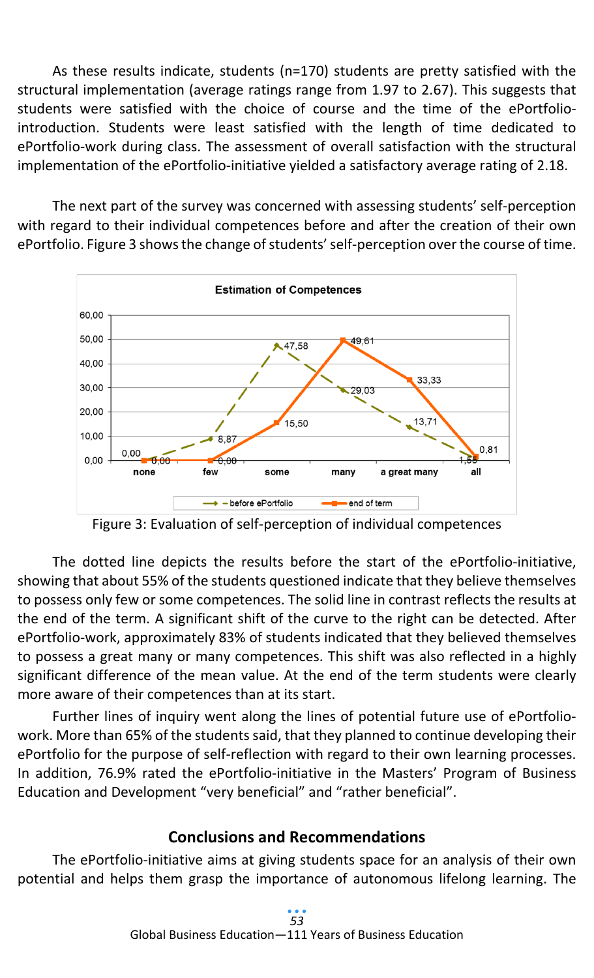As these results indicate, students (n=170) students are pretty satisfied with the structural implementation (average ratings range from 1.97 to 2.67). This suggests that students were satisfied with the choice of course and the time of the ePortfoliointroduction. Students were least satisfied with the length of time dedicated to ePortfolio-work during class. The assessment of overall satisfaction with the structural implementation of the ePortfolio-initiative yielded a satisfactory average rating of 2.18.

The next part of the survey was concerned with assessing students' self-perception with regard to their individual competences before and after the creation of their own ePortfolio. Figure 3 shows the change of students' self-perception over the course of time.



Figure 3: Evaluation of self-perception of individual competences

The dotted line depicts the results before the start of the ePortfolio-initiative, showing that about 55% of the students questioned indicate that they believe themselves to possess only few or some competences. The solid line in contrast reflects the results at the end of the term. A significant shift of the curve to the right can be detected. After ePortfolio-work, approximately 83% of students indicated that they believed themselves to possess a great many or many competences. This shift was also reflected in a highly significant difference of the mean value. At the end of the term students were clearly more aware of their competences than at its start.

Further lines of inquiry went along the lines of potential future use of ePortfoliowork. More than 65% of the students said, that they planned to continue developing their ePortfolio for the purpose of self-reflection with regard to their own learning processes. In addition, 76.9% rated the ePortfolio-initiative in the Masters' Program of Business Education and Development "very beneficial" and "rather beneficial".

# **Conclusions and Recommendations**

The ePortfolio-initiative aims at giving students space for an analysis of their own potential and helps them grasp the importance of autonomous lifelong learning. The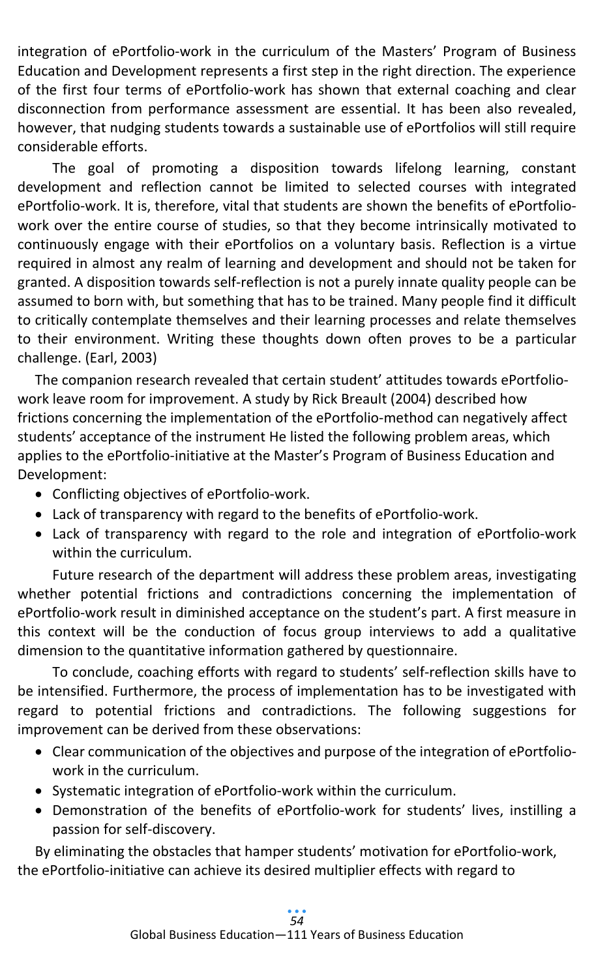integration of ePortfolio-work in the curriculum of the Masters' Program of Business Education and Development represents a first step in the right direction. The experience of the first four terms of ePortfolio-work has shown that external coaching and clear disconnection from performance assessment are essential. It has been also revealed, however, that nudging students towards a sustainable use of ePortfolios will still require considerable efforts.

The goal of promoting a disposition towards lifelong learning, constant development and reflection cannot be limited to selected courses with integrated ePortfolio-work. It is, therefore, vital that students are shown the benefits of ePortfoliowork over the entire course of studies, so that they become intrinsically motivated to continuously engage with their ePortfolios on a voluntary basis. Reflection is a virtue required in almost any realm of learning and development and should not be taken for granted. A disposition towards self-reflection is not a purely innate quality people can be assumed to born with, but something that has to be trained. Many people find it difficult to critically contemplate themselves and their learning processes and relate themselves to their environment. Writing these thoughts down often proves to be a particular challenge. (Earl, 2003)

The companion research revealed that certain student' attitudes towards ePortfoliowork leave room for improvement. A study by Rick Breault (2004) described how frictions concerning the implementation of the ePortfolio-method can negatively affect students' acceptance of the instrument He listed the following problem areas, which applies to the ePortfolio-initiative at the Master's Program of Business Education and Development:

- Conflicting objectives of ePortfolio-work.
- Lack of transparency with regard to the benefits of ePortfolio-work.
- Lack of transparency with regard to the role and integration of ePortfolio-work within the curriculum.

Future research of the department will address these problem areas, investigating whether potential frictions and contradictions concerning the implementation of ePortfolio-work result in diminished acceptance on the student's part. A first measure in this context will be the conduction of focus group interviews to add a qualitative dimension to the quantitative information gathered by questionnaire.

To conclude, coaching efforts with regard to students' self-reflection skills have to be intensified. Furthermore, the process of implementation has to be investigated with regard to potential frictions and contradictions. The following suggestions for improvement can be derived from these observations:

- Clear communication of the objectives and purpose of the integration of ePortfoliowork in the curriculum.
- Systematic integration of ePortfolio-work within the curriculum.
- Demonstration of the benefits of ePortfolio-work for students' lives, instilling a passion for self-discovery.

By eliminating the obstacles that hamper students' motivation for ePortfolio-work, the ePortfolio-initiative can achieve its desired multiplier effects with regard to